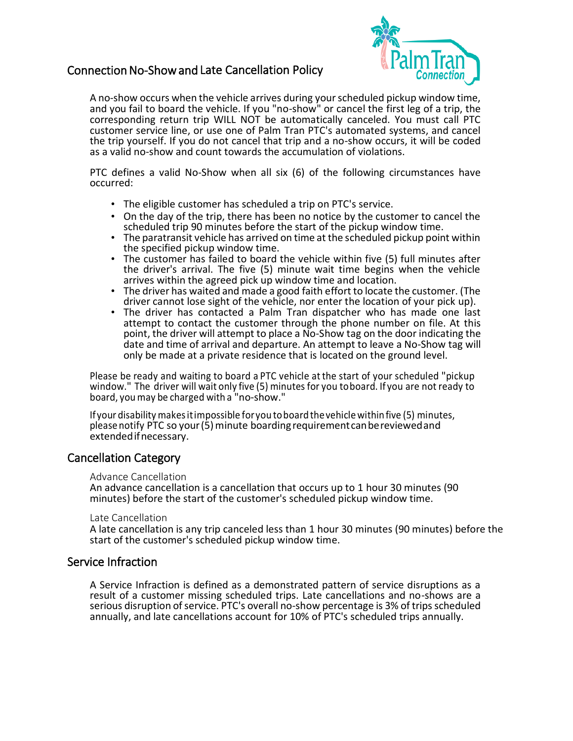# Connection No-Show and Late Cancellation Policy



 A no-show occurs when the vehicle arrives during your scheduled pickup window time, the trip yourself. If you do not cancel that trip and a no-show occurs, it will be coded and you fail to board the vehicle. If you "no-show" or cancel the first leg of a trip, the corresponding return trip WILL NOT be automatically canceled. You must call PTC customer service line, or use one of Palm Tran PTC's automated systems, and cancel as a valid no-show and count towards the accumulation of violations.

 PTC defines a valid No-Show when all six (6) of the following circumstances have occurred:

- The eligible customer has scheduled a trip on PTC's service.
- On the day of the trip, there has been no notice by the customer to cancel the
- scheduled trip 90 minutes before the start of the pickup window time.<br>• The paratransit vehicle has arrived on time at the scheduled pickup point within<br>the specified pickup window time.
- the specified pickup window time. The customer has failed to board the vehicle within five (5) full minutes after the driver's arrival. The five (5) minute wait time begins when the vehicle arrives within the agreed pick up window time and location.
- The driver has waited and made a good faith effort to locate the customer. (The driver cannot lose sight of the vehicle, nor enter the location of your pick up).
- attempt to contact the customer through the phone number on file. At this • The driver has contacted a Palm Tran dispatcher who has made one last point, the driver will attempt to place a No-Show tag on the door indicating the date and time of arrival and departure. An attempt to leave a No-Show tag will only be made at a private residence that is located on the ground level.

Please be ready and waiting to board a PTC vehicle at the start of your scheduled "pickup window." The driver will wait only five (5) minutes for you toboard. If you are not ready to board, you may be charged with a "no-show."

Ifyour disability makes itimpossible for you toboard the vehicle within five (5) minutes, please notify PTC so your (5) minute boarding requirementcanbereviewedand extendedifnecessary.

## Cancellation Category

Advance Cancellation

 An advance cancellation is a cancellation that occurs up to 1 hour 30 minutes (90 minutes) before the start of the customer's scheduled pickup window time.

#### Late Cancellation

 A late cancellation is any trip canceled less than 1 hour 30 minutes (90 minutes) before the start of the customer's scheduled pickup window time.

## Service Infraction

 A Service Infraction is defined as a demonstrated pattern of service disruptions as a result of a customer missing scheduled trips. Late cancellations and no-shows are a serious disruption of service. PTC's overall no-show percentage is 3% of trips scheduled annually, and late cancellations account for 10% of PTC's scheduled trips annually.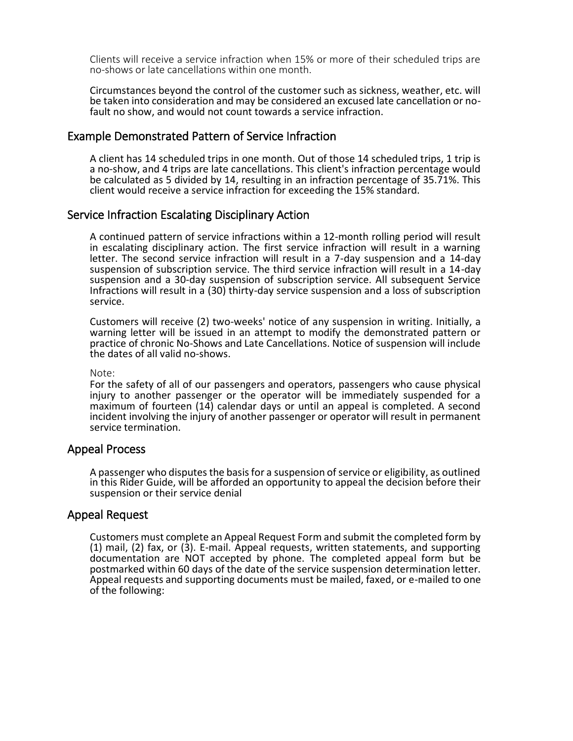Clients will receive a service infraction when 15% or more of their scheduled trips are no-shows or late cancellations within one month.

 Circumstances beyond the control of the customer such as sickness, weather, etc. will be taken into consideration and may be considered an excused late cancellation or no-<br>fault no show, and would not count towards a service infraction.

#### Example Demonstrated Pattern of Service Infraction

 A client has 14 scheduled trips in one month. Out of those 14 scheduled trips, 1 trip is a no-show, and 4 trips are late cancellations. This client's infraction percentage would be calculated as 5 divided by 14, resulting in an infraction percentage of 35.71%. This client would receive a service infraction for exceeding the 15% standard.

#### Service Infraction Escalating Disciplinary Action

 A continued pattern of service infractions within a 12-month rolling period will result in escalating disciplinary action. The first service infraction will result in a warning letter. The second service infraction will result in a 7-day suspension and a 14-day suspension of subscription service. The third service infraction will result in a 14-day suspension and a 30-day suspension of subscription service. All subsequent Service Infractions will result in a (30) thirty-day service suspension and a loss of subscription service.

 Customers will receive (2) two-weeks' notice of any suspension in writing. Initially, a warning letter will be issued in an attempt to modify the demonstrated pattern or practice of chronic No-Shows and Late Cancellations. Notice of suspension will include the dates of all valid no-shows.

#### Note:

 For the safety of all of our passengers and operators, passengers who cause physical injury to another passenger or the operator will be immediately suspended for a maximum of fourteen (14) calendar days or until an appeal is completed. A second incident involving the injury of another passenger or operator will result in permanent service termination.

#### Appeal Process

 A passenger who disputes the basis for a suspension of service or eligibility, as outlined in this Rider Guide, will be afforded an opportunity to appeal the decision before their suspension or their service denial

#### Appeal Request

 Customers must complete an Appeal Request Form and submit the completed form by (1) mail, (2) fax, or (3). E-mail. Appeal requests, written statements, and supporting documentation are NOT accepted by phone. The completed appeal form but be postmarked within 60 days of the date of the service suspension determination letter. Appeal requests and supporting documents must be mailed, faxed, or e-mailed to one of the following: